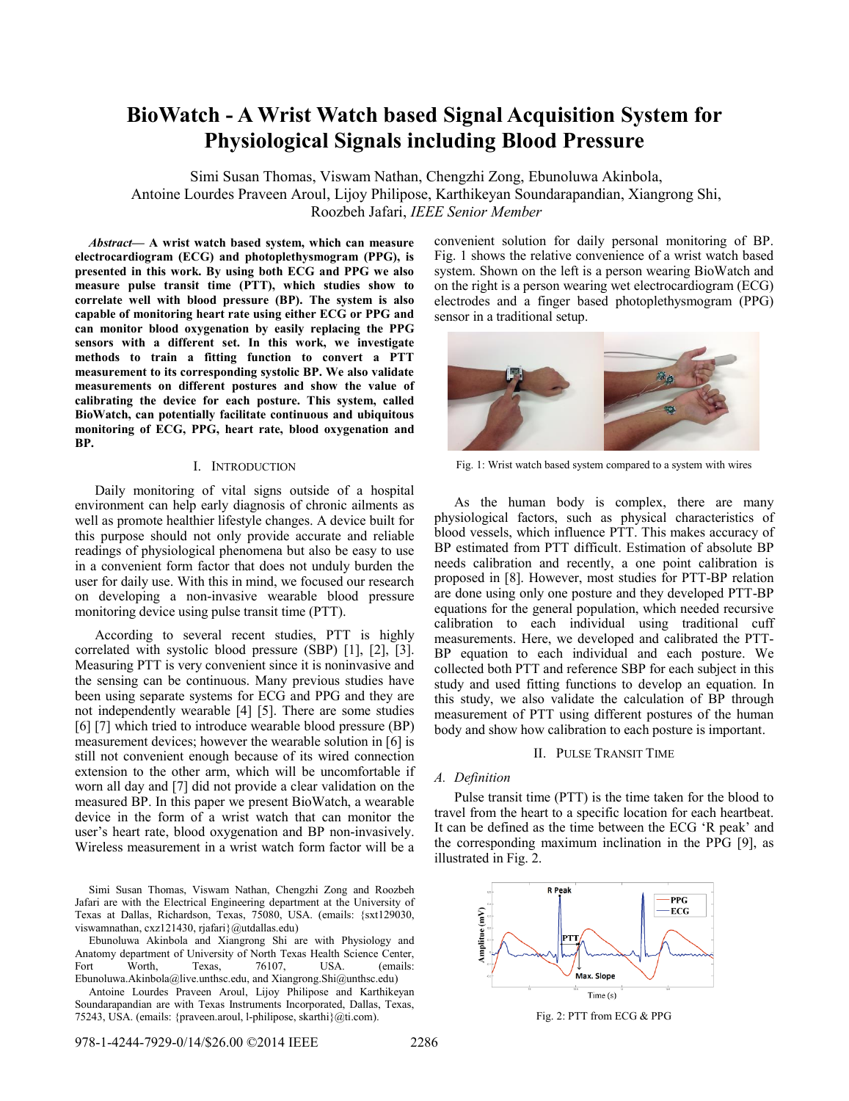# **BioWatch - A Wrist Watch based Signal Acquisition System for Physiological Signals including Blood Pressure**

Simi Susan Thomas, Viswam Nathan, Chengzhi Zong, Ebunoluwa Akinbola, Antoine Lourdes Praveen Aroul, Lijoy Philipose, Karthikeyan Soundarapandian, Xiangrong Shi, Roozbeh Jafari, *IEEE Senior Member*

*Abstract***— A wrist watch based system, which can measure electrocardiogram (ECG) and photoplethysmogram (PPG), is presented in this work. By using both ECG and PPG we also measure pulse transit time (PTT), which studies show to correlate well with blood pressure (BP). The system is also capable of monitoring heart rate using either ECG or PPG and can monitor blood oxygenation by easily replacing the PPG sensors with a different set. In this work, we investigate methods to train a fitting function to convert a PTT measurement to its corresponding systolic BP. We also validate measurements on different postures and show the value of calibrating the device for each posture. This system, called BioWatch, can potentially facilitate continuous and ubiquitous monitoring of ECG, PPG, heart rate, blood oxygenation and BP.**

#### I. INTRODUCTION

Daily monitoring of vital signs outside of a hospital environment can help early diagnosis of chronic ailments as well as promote healthier lifestyle changes. A device built for this purpose should not only provide accurate and reliable readings of physiological phenomena but also be easy to use in a convenient form factor that does not unduly burden the user for daily use. With this in mind, we focused our research on developing a non-invasive wearable blood pressure monitoring device using pulse transit time (PTT).

According to several recent studies, PTT is highly correlated with systolic blood pressure (SBP) [1], [2], [3]. Measuring PTT is very convenient since it is noninvasive and the sensing can be continuous. Many previous studies have been using separate systems for ECG and PPG and they are not independently wearable [4] [5]. There are some studies [6] [7] which tried to introduce wearable blood pressure (BP) measurement devices; however the wearable solution in [6] is still not convenient enough because of its wired connection extension to the other arm, which will be uncomfortable if worn all day and [7] did not provide a clear validation on the measured BP. In this paper we present BioWatch, a wearable device in the form of a wrist watch that can monitor the user's heart rate, blood oxygenation and BP non-invasively. Wireless measurement in a wrist watch form factor will be a

Simi Susan Thomas, Viswam Nathan, Chengzhi Zong and Roozbeh Jafari are with the Electrical Engineering department at the University of Texas at Dallas, Richardson, Texas, 75080, USA. (emails: {sxt129030, viswamnathan, cxz121430, rjafari}@utdallas.edu)

Ebunoluwa Akinbola and Xiangrong Shi are with Physiology and Anatomy department of University of North Texas Health Science Center, Fort Worth, Texas, 76107, USA. (emails: Ebunoluwa.Akinbola@live.unthsc.edu, and Xiangrong.Shi@unthsc.edu)

Antoine Lourdes Praveen Aroul, Lijoy Philipose and Karthikeyan Soundarapandian are with Texas Instruments Incorporated, Dallas, Texas, 75243, USA. (emails: {praveen.aroul, l-philipose, skarthi}@ti.com).

convenient solution for daily personal monitoring of BP. Fig. 1 shows the relative convenience of a wrist watch based system. Shown on the left is a person wearing BioWatch and on the right is a person wearing wet electrocardiogram (ECG) electrodes and a finger based photoplethysmogram (PPG) sensor in a traditional setup.



Fig. 1: Wrist watch based system compared to a system with wires

As the human body is complex, there are many physiological factors, such as physical characteristics of blood vessels, which influence PTT. This makes accuracy of BP estimated from PTT difficult. Estimation of absolute BP needs calibration and recently, a one point calibration is proposed in [8]. However, most studies for PTT-BP relation are done using only one posture and they developed PTT-BP equations for the general population, which needed recursive calibration to each individual using traditional cuff measurements. Here, we developed and calibrated the PTT-BP equation to each individual and each posture. We collected both PTT and reference SBP for each subject in this study and used fitting functions to develop an equation. In this study, we also validate the calculation of BP through measurement of PTT using different postures of the human body and show how calibration to each posture is important.

#### II. PULSE TRANSIT TIME

# *A. Definition*

Pulse transit time (PTT) is the time taken for the blood to travel from the heart to a specific location for each heartbeat. It can be defined as the time between the ECG 'R peak' and the corresponding maximum inclination in the PPG [9], as illustrated in Fig. 2.



Fig. 2: PTT from ECG & PPG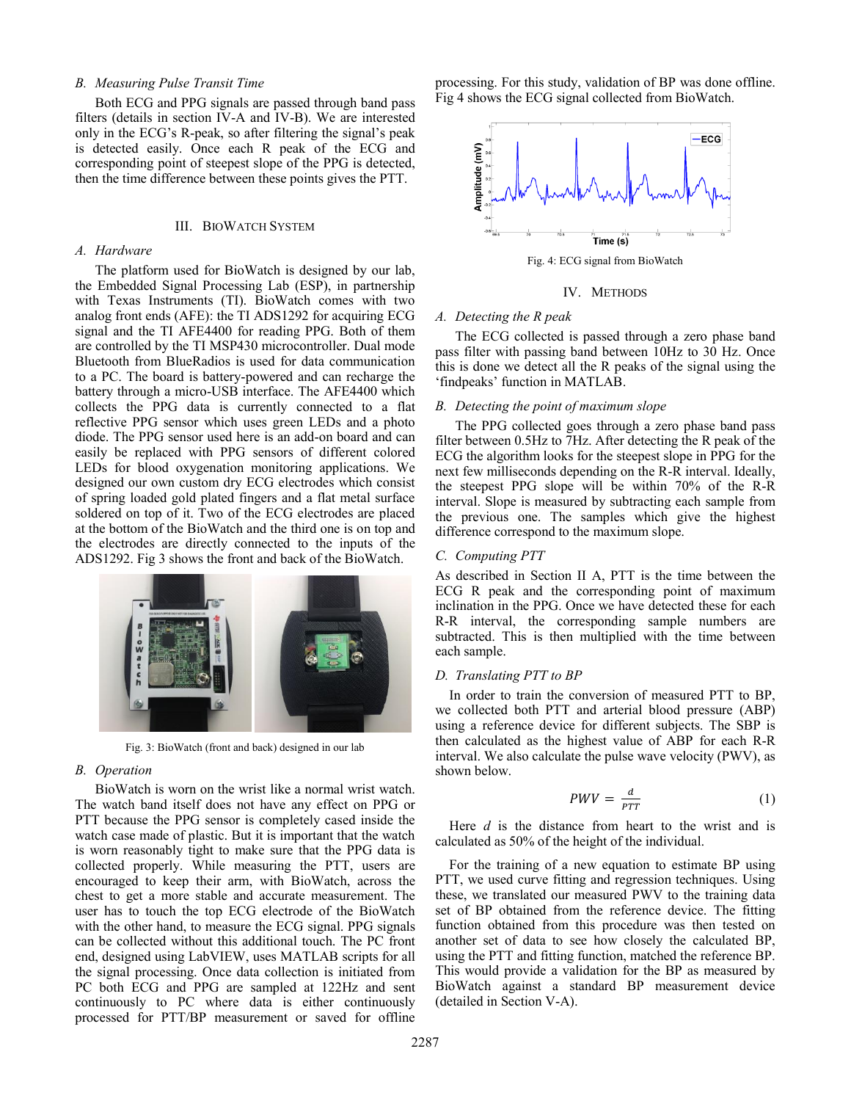# *B. Measuring Pulse Transit Time*

Both ECG and PPG signals are passed through band pass filters (details in section IV-A and IV-B). We are interested only in the ECG's R-peak, so after filtering the signal's peak is detected easily. Once each R peak of the ECG and corresponding point of steepest slope of the PPG is detected, then the time difference between these points gives the PTT.

#### III. BIOWATCH SYSTEM

# *A. Hardware*

The platform used for BioWatch is designed by our lab, the Embedded Signal Processing Lab (ESP), in partnership with Texas Instruments (TI). BioWatch comes with two analog front ends (AFE): the TI ADS1292 for acquiring ECG signal and the TI AFE4400 for reading PPG. Both of them are controlled by the TI MSP430 microcontroller. Dual mode Bluetooth from BlueRadios is used for data communication to a PC. The board is battery-powered and can recharge the battery through a micro-USB interface. The AFE4400 which collects the PPG data is currently connected to a flat reflective PPG sensor which uses green LEDs and a photo diode. The PPG sensor used here is an add-on board and can easily be replaced with PPG sensors of different colored LEDs for blood oxygenation monitoring applications. We designed our own custom dry ECG electrodes which consist of spring loaded gold plated fingers and a flat metal surface soldered on top of it. Two of the ECG electrodes are placed at the bottom of the BioWatch and the third one is on top and the electrodes are directly connected to the inputs of the ADS1292. Fig 3 shows the front and back of the BioWatch.



Fig. 3: BioWatch (front and back) designed in our lab

# *B. Operation*

BioWatch is worn on the wrist like a normal wrist watch. The watch band itself does not have any effect on PPG or PTT because the PPG sensor is completely cased inside the watch case made of plastic. But it is important that the watch is worn reasonably tight to make sure that the PPG data is collected properly. While measuring the PTT, users are encouraged to keep their arm, with BioWatch, across the chest to get a more stable and accurate measurement. The user has to touch the top ECG electrode of the BioWatch with the other hand, to measure the ECG signal. PPG signals can be collected without this additional touch. The PC front end, designed using LabVIEW, uses MATLAB scripts for all the signal processing. Once data collection is initiated from PC both ECG and PPG are sampled at 122Hz and sent continuously to PC where data is either continuously processed for PTT/BP measurement or saved for offline processing. For this study, validation of BP was done offline. Fig 4 shows the ECG signal collected from BioWatch.



Fig. 4: ECG signal from BioWatch

#### IV. METHODS

# *A. Detecting the R peak*

The ECG collected is passed through a zero phase band pass filter with passing band between 10Hz to 30 Hz. Once this is done we detect all the R peaks of the signal using the 'findpeaks' function in MATLAB.

## *B. Detecting the point of maximum slope*

The PPG collected goes through a zero phase band pass filter between 0.5Hz to 7Hz. After detecting the R peak of the ECG the algorithm looks for the steepest slope in PPG for the next few milliseconds depending on the R-R interval. Ideally, the steepest PPG slope will be within 70% of the R-R interval. Slope is measured by subtracting each sample from the previous one. The samples which give the highest difference correspond to the maximum slope.

## *C. Computing PTT*

As described in Section II A, PTT is the time between the ECG R peak and the corresponding point of maximum inclination in the PPG. Once we have detected these for each R-R interval, the corresponding sample numbers are subtracted. This is then multiplied with the time between each sample.

## *D. Translating PTT to BP*

In order to train the conversion of measured PTT to BP, we collected both PTT and arterial blood pressure (ABP) using a reference device for different subjects. The SBP is then calculated as the highest value of ABP for each R-R interval. We also calculate the pulse wave velocity (PWV), as shown below.

$$
PWV = \frac{d}{PTT} \tag{1}
$$

Here *d* is the distance from heart to the wrist and is calculated as 50% of the height of the individual.

For the training of a new equation to estimate BP using PTT, we used curve fitting and regression techniques. Using these, we translated our measured PWV to the training data set of BP obtained from the reference device. The fitting function obtained from this procedure was then tested on another set of data to see how closely the calculated BP, using the PTT and fitting function, matched the reference BP. This would provide a validation for the BP as measured by BioWatch against a standard BP measurement device (detailed in Section V-A).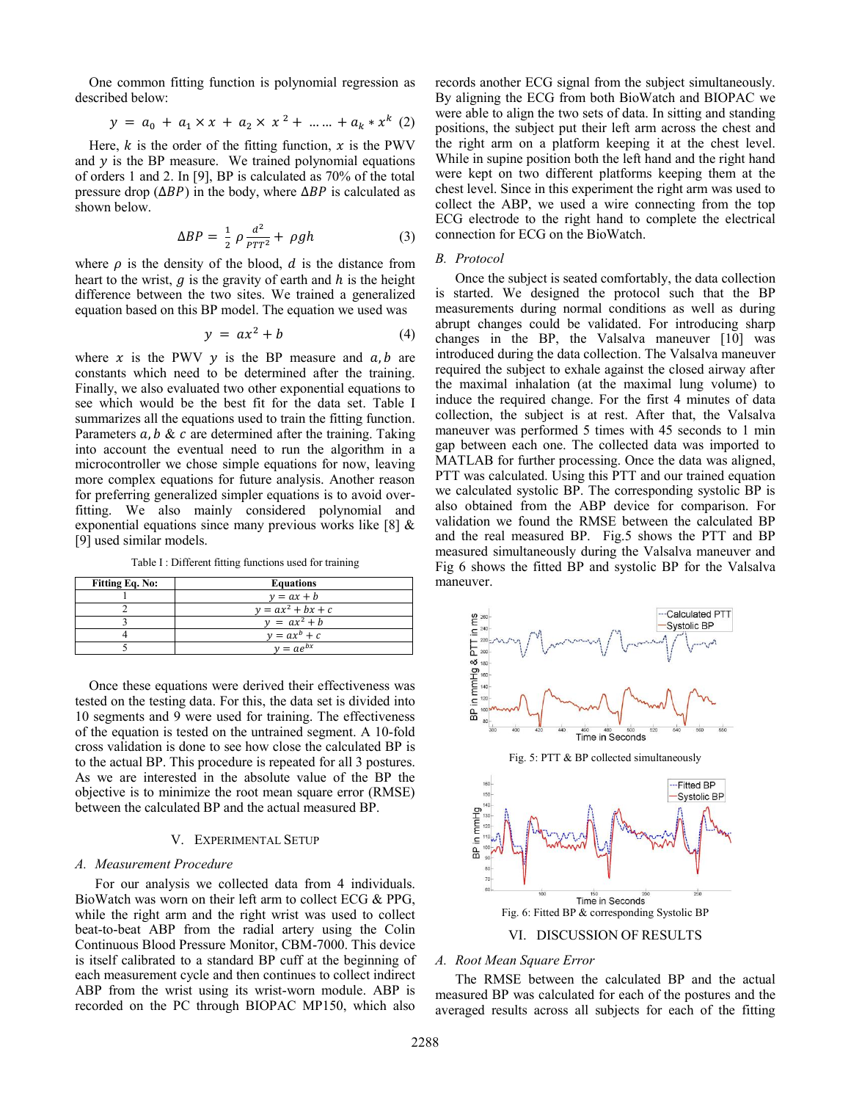One common fitting function is polynomial regression as described below:

$$
y = a_0 + a_1 \times x + a_2 \times x^2 + \dots + a_k * x^k \quad (2)
$$

Here,  $k$  is the order of the fitting function,  $x$  is the PWV and  $y$  is the BP measure. We trained polynomial equations of orders 1 and 2. In [9], BP is calculated as 70% of the total pressure drop ( $\Delta BP$ ) in the body, where  $\Delta BP$  is calculated as shown below.

$$
\Delta BP = \frac{1}{2} \rho \frac{d^2}{pTT^2} + \rho gh \tag{3}
$$

where  $\rho$  is the density of the blood, d is the distance from heart to the wrist,  $g$  is the gravity of earth and  $h$  is the height difference between the two sites. We trained a generalized equation based on this BP model. The equation we used was

$$
y = ax^2 + b \tag{4}
$$

where  $x$  is the PWV  $y$  is the BP measure and  $a, b$  are constants which need to be determined after the training. Finally, we also evaluated two other exponential equations to see which would be the best fit for the data set. Table I summarizes all the equations used to train the fitting function. Parameters  $a, b \& c$  are determined after the training. Taking into account the eventual need to run the algorithm in a microcontroller we chose simple equations for now, leaving more complex equations for future analysis. Another reason for preferring generalized simpler equations is to avoid overfitting. We also mainly considered polynomial and exponential equations since many previous works like [8] & [9] used similar models.

Table I : Different fitting functions used for training

| <b>Fitting Eq. No:</b> | <b>Equations</b>    |
|------------------------|---------------------|
|                        | $y = ax + b$        |
|                        | $y = ax^2 + bx + c$ |
|                        | $y = ax^2 + b$      |
|                        | $y = ax^b + c$      |
|                        | $y = ae^{bx}$       |

Once these equations were derived their effectiveness was tested on the testing data. For this, the data set is divided into 10 segments and 9 were used for training. The effectiveness of the equation is tested on the untrained segment. A 10-fold cross validation is done to see how close the calculated BP is to the actual BP. This procedure is repeated for all 3 postures. As we are interested in the absolute value of the BP the objective is to minimize the root mean square error (RMSE) between the calculated BP and the actual measured BP.

#### V. EXPERIMENTAL SETUP

# *A. Measurement Procedure*

For our analysis we collected data from 4 individuals. BioWatch was worn on their left arm to collect ECG & PPG, while the right arm and the right wrist was used to collect beat-to-beat ABP from the radial artery using the Colin Continuous Blood Pressure Monitor, CBM-7000. This device is itself calibrated to a standard BP cuff at the beginning of each measurement cycle and then continues to collect indirect ABP from the wrist using its wrist-worn module. ABP is recorded on the PC through BIOPAC MP150, which also

records another ECG signal from the subject simultaneously. By aligning the ECG from both BioWatch and BIOPAC we were able to align the two sets of data. In sitting and standing positions, the subject put their left arm across the chest and the right arm on a platform keeping it at the chest level. While in supine position both the left hand and the right hand were kept on two different platforms keeping them at the chest level. Since in this experiment the right arm was used to collect the ABP, we used a wire connecting from the top ECG electrode to the right hand to complete the electrical connection for ECG on the BioWatch.

#### *B. Protocol*

Once the subject is seated comfortably, the data collection is started. We designed the protocol such that the BP measurements during normal conditions as well as during abrupt changes could be validated. For introducing sharp changes in the BP, the Valsalva maneuver [10] was introduced during the data collection. The Valsalva maneuver required the subject to exhale against the closed airway after the maximal inhalation (at the maximal lung volume) to induce the required change. For the first 4 minutes of data collection, the subject is at rest. After that, the Valsalva maneuver was performed 5 times with 45 seconds to 1 min gap between each one. The collected data was imported to MATLAB for further processing. Once the data was aligned, PTT was calculated. Using this PTT and our trained equation we calculated systolic BP. The corresponding systolic BP is also obtained from the ABP device for comparison. For validation we found the RMSE between the calculated BP and the real measured BP. Fig.5 shows the PTT and BP measured simultaneously during the Valsalva maneuver and Fig 6 shows the fitted BP and systolic BP for the Valsalva maneuver.



## *A. Root Mean Square Error*

The RMSE between the calculated BP and the actual measured BP was calculated for each of the postures and the averaged results across all subjects for each of the fitting